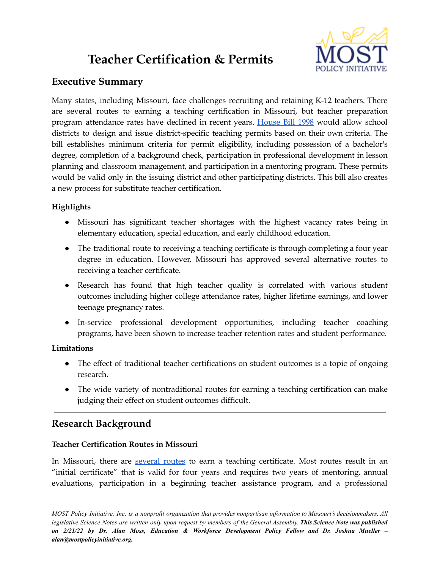# **Teacher Certification & Permits**



# **Executive Summary**

Many states, including Missouri, face challenges recruiting and retaining K-12 teachers. There are several routes to earning a teaching certification in Missouri, but teacher preparation program attendance rates have declined in recent years. [House](https://www.house.mo.gov/Bill.aspx?bill=HB1998&year=2022&code=R) Bill 1998 would allow school districts to design and issue district-specific teaching permits based on their own criteria. The bill establishes minimum criteria for permit eligibility, including possession of a bachelor's degree, completion of a background check, participation in professional development in lesson planning and classroom management, and participation in a mentoring program. These permits would be valid only in the issuing district and other participating districts. This bill also creates a new process for substitute teacher certification.

## **Highlights**

- Missouri has significant teacher shortages with the highest vacancy rates being in elementary education, special education, and early childhood education.
- The traditional route to receiving a teaching certificate is through completing a four year degree in education. However, Missouri has approved several alternative routes to receiving a teacher certificate.
- Research has found that high teacher quality is correlated with various student outcomes including higher college attendance rates, higher lifetime earnings, and lower teenage pregnancy rates.
- In-service professional development opportunities, including teacher coaching programs, have been shown to increase teacher retention rates and student performance.

### **Limitations**

- The effect of traditional teacher certifications on student outcomes is a topic of ongoing research.
- The wide variety of nontraditional routes for earning a teaching certification can make judging their effect on student outcomes difficult.

# **Research Background**

#### **Teacher Certification Routes in Missouri**

In Missouri, there are [several](https://dese.mo.gov/educator-quality/certification/routes-certification) routes to earn a teaching certificate. Most routes result in an "initial certificate" that is valid for four years and requires two years of mentoring, annual evaluations, participation in a beginning teacher assistance program, and a professional

MOST Policy Initiative, Inc. is a nonprofit organization that provides nonpartisan information to Missouri's decisionmakers. All legislative Science Notes are written only upon request by members of the General Assembly. This Science Note was published *on 2/21/22 by Dr. Alan Moss, Education & Workforce Development Policy Fellow and Dr. Joshua Mueller – alan@mostpolicyinitiative.org.*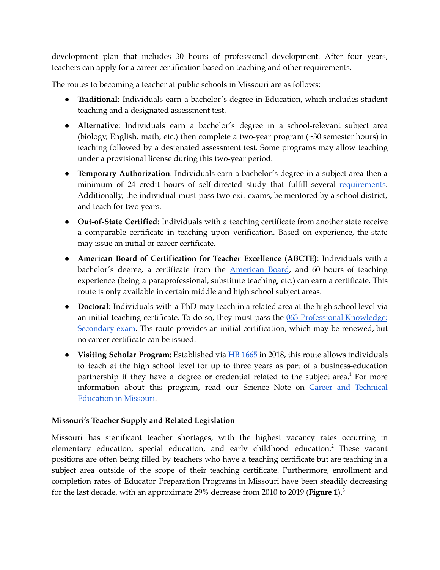development plan that includes 30 hours of professional development. After four years, teachers can apply for a career certification based on teaching and other requirements.

The routes to becoming a teacher at public schools in Missouri are as follows:

- **Traditional**: Individuals earn a bachelor's degree in Education, which includes student teaching and a designated assessment test.
- **Alternative**: Individuals earn a bachelor's degree in a school-relevant subject area (biology, English, math, etc.) then complete a two-year program (~30 semester hours) in teaching followed by a designated assessment test. Some programs may allow teaching under a provisional license during this two-year period.
- **Temporary Authorization**: Individuals earn a bachelor's degree in a subject area then a minimum of 24 credit hours of self-directed study that fulfill several [requirements.](https://dese.mo.gov/educator-quality/certification/temporary-authorization-certificate-requirements) Additionally, the individual must pass two exit exams, be mentored by a school district, and teach for two years.
- **Out-of-State Certified**: Individuals with a teaching certificate from another state receive a comparable certificate in teaching upon verification. Based on experience, the state may issue an initial or career certificate.
- **American Board of Certification for Teacher Excellence (ABCTE)**: Individuals with a bachelor's degree, a certificate from the [American](https://www.americanboard.org/missouri/) Board, and 60 hours of teaching experience (being a paraprofessional, substitute teaching, etc.) can earn a certificate. This route is only available in certain middle and high school subject areas.
- **Doctoral**: Individuals with a PhD may teach in a related area at the high school level via an initial teaching certificate. To do so, they must pass the 063 [Professional](https://www.mo.nesinc.com/TestView.aspx?f=HTML_FRAG/MO063_TestPage.html) Knowledge: [Secondary](https://www.mo.nesinc.com/TestView.aspx?f=HTML_FRAG/MO063_TestPage.html) exam. Ths route provides an initial certification, which may be renewed, but no career certificate can be issued.
- **Visiting Scholar Program**: Established via HB [1665](https://house.mo.gov/billtracking/bills181/hlrbillspdf/4900H.01T.pdf) in 2018, this route allows individuals to teach at the high school level for up to three years as part of a business-education partnership if they have a degree or credential related to the subject area. <sup>1</sup> For more information about this program, read our Science Note on Career and [Technical](https://mostpolicyinitiative.org/science-note/career-and-technical-education-in-missouri/) [Education](https://mostpolicyinitiative.org/science-note/career-and-technical-education-in-missouri/) in Missouri.

#### **Missouri's Teacher Supply and Related Legislation**

Missouri has significant teacher shortages, with the highest vacancy rates occurring in elementary education, special education, and early childhood education. <sup>2</sup> These vacant positions are often being filled by teachers who have a teaching certificate but are teaching in a subject area outside of the scope of their teaching certificate. Furthermore, enrollment and completion rates of Educator Preparation Programs in Missouri have been steadily decreasing for the last decade, with an approximate 29% decrease from 2010 to 2019 (**Figure 1**). 3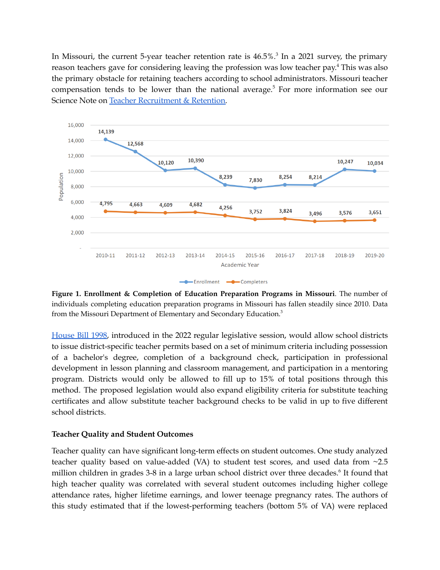In Missouri, the current 5-year teacher retention rate is  $46.5\%$ <sup>3</sup> In a 2021 survey, the primary reason teachers gave for considering leaving the profession was low teacher pay.<sup>4</sup> This was also the primary obstacle for retaining teachers according to school administrators. Missouri teacher compensation tends to be lower than the national average. <sup>5</sup> For more information see our Science Note on Teacher [Recruitment](https://mostpolicyinitiative.org/science-note/teacher-recruitment-retention/) & Retention.



**Figure 1. Enrollment & Completion of Education Preparation Programs in Missouri**. The number of individuals completing education preparation programs in Missouri has fallen steadily since 2010. Data from the Missouri Department of Elementary and Secondary Education.<sup>3</sup>

[House](https://www.house.mo.gov/Bill.aspx?bill=HB1998&year=2022&code=R) Bill 1998, introduced in the 2022 regular legislative session, would allow school districts to issue district-specific teacher permits based on a set of minimum criteria including possession of a bachelor's degree, completion of a background check, participation in professional development in lesson planning and classroom management, and participation in a mentoring program. Districts would only be allowed to fill up to 15% of total positions through this method. The proposed legislation would also expand eligibility criteria for substitute teaching certificates and allow substitute teacher background checks to be valid in up to five different school districts.

#### **Teacher Quality and Student Outcomes**

Teacher quality can have significant long-term effects on student outcomes. One study analyzed teacher quality based on value-added (VA) to student test scores, and used data from ~2.5 million children in grades 3-8 in a large urban school district over three decades. 6 It found that high teacher quality was correlated with several student outcomes including higher college attendance rates, higher lifetime earnings, and lower teenage pregnancy rates. The authors of this study estimated that if the lowest-performing teachers (bottom 5% of VA) were replaced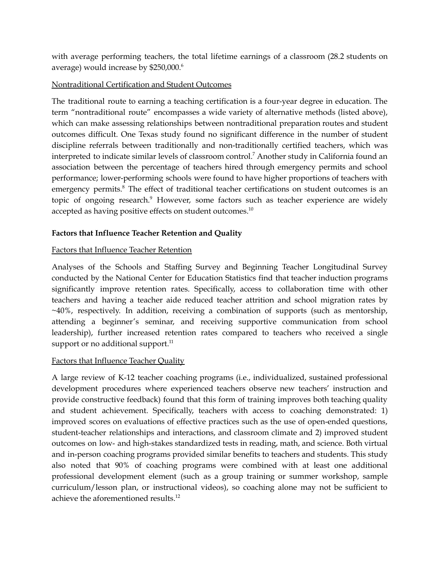with average performing teachers, the total lifetime earnings of a classroom (28.2 students on average) would increase by \$250,000. 6

#### Nontraditional Certification and Student Outcomes

The traditional route to earning a teaching certification is a four-year degree in education. The term "nontraditional route" encompasses a wide variety of alternative methods (listed above), which can make assessing relationships between nontraditional preparation routes and student outcomes difficult. One Texas study found no significant difference in the number of student discipline referrals between traditionally and non-traditionally certified teachers, which was interpreted to indicate similar levels of classroom control. <sup>7</sup> Another study in California found an association between the percentage of teachers hired through emergency permits and school performance; lower-performing schools were found to have higher proportions of teachers with emergency permits.<sup>8</sup> The effect of traditional teacher certifications on student outcomes is an topic of ongoing research.<sup>9</sup> However, some factors such as teacher experience are widely accepted as having positive effects on student outcomes. $^{10}$ 

#### **Factors that Influence Teacher Retention and Quality**

#### Factors that Influence Teacher Retention

Analyses of the Schools and Staffing Survey and Beginning Teacher Longitudinal Survey conducted by the National Center for Education Statistics find that teacher induction programs significantly improve retention rates. Specifically, access to collaboration time with other teachers and having a teacher aide reduced teacher attrition and school migration rates by ~40%, respectively. In addition, receiving a combination of supports (such as mentorship, attending a beginner's seminar, and receiving supportive communication from school leadership), further increased retention rates compared to teachers who received a single support or no additional support.<sup>11</sup>

#### Factors that Influence Teacher Quality

A large review of K-12 teacher coaching programs (i.e., individualized, sustained professional development procedures where experienced teachers observe new teachers' instruction and provide constructive feedback) found that this form of training improves both teaching quality and student achievement. Specifically, teachers with access to coaching demonstrated: 1) improved scores on evaluations of effective practices such as the use of open-ended questions, student-teacher relationships and interactions, and classroom climate and 2) improved student outcomes on low- and high-stakes standardized tests in reading, math, and science. Both virtual and in-person coaching programs provided similar benefits to teachers and students. This study also noted that 90% of coaching programs were combined with at least one additional professional development element (such as a group training or summer workshop, sample curriculum/lesson plan, or instructional videos), so coaching alone may not be sufficient to achieve the aforementioned results. 12